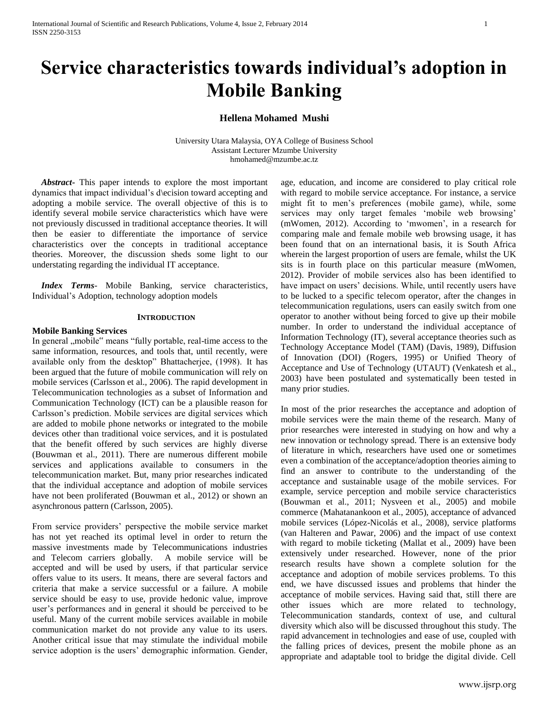# **Service characteristics towards individual's adoption in Mobile Banking**

# **Hellena Mohamed Mushi**

University Utara Malaysia, OYA College of Business School Assistant Lecturer Mzumbe University [hmohamed@mzumbe.ac.tz](mailto:hmohamed@mzumbe.ac.tz)

 *Abstract***-** This paper intends to explore the most important dynamics that impact individual's d\ecision toward accepting and adopting a mobile service. The overall objective of this is to identify several mobile service characteristics which have were not previously discussed in traditional acceptance theories. It will then be easier to differentiate the importance of service characteristics over the concepts in traditional acceptance theories. Moreover, the discussion sheds some light to our understating regarding the individual IT acceptance.

 *Index Terms*- Mobile Banking, service characteristics, Individual's Adoption, technology adoption models

### **INTRODUCTION**

### **Mobile Banking Services**

In general ,,mobile" means "fully portable, real-time access to the same information, resources, and tools that, until recently, were available only from the desktop" Bhattacherjee, (1998). It has been argued that the future of mobile communication will rely on mobile services (Carlsson et al., 2006). The rapid development in Telecommunication technologies as a subset of Information and Communication Technology (ICT) can be a plausible reason for Carlsson's prediction. Mobile services are digital services which are added to mobile phone networks or integrated to the mobile devices other than traditional voice services, and it is postulated that the benefit offered by such services are highly diverse (Bouwman et al., 2011). There are numerous different mobile services and applications available to consumers in the telecommunication market. But, many prior researches indicated that the individual acceptance and adoption of mobile services have not been proliferated (Bouwman et al., 2012) or shown an asynchronous pattern (Carlsson, 2005).

From service providers' perspective the mobile service market has not yet reached its optimal level in order to return the massive investments made by Telecommunications industries and Telecom carriers globally. A mobile service will be accepted and will be used by users, if that particular service offers value to its users. It means, there are several factors and criteria that make a service successful or a failure. A mobile service should be easy to use, provide hedonic value, improve user's performances and in general it should be perceived to be useful. Many of the current mobile services available in mobile communication market do not provide any value to its users. Another critical issue that may stimulate the individual mobile service adoption is the users' demographic information. Gender,

age, education, and income are considered to play critical role with regard to mobile service acceptance. For instance, a service might fit to men's preferences (mobile game), while, some services may only target females 'mobile web browsing' (mWomen, 2012). According to 'mwomen', in a research for comparing male and female mobile web browsing usage, it has been found that on an international basis, it is South Africa wherein the largest proportion of users are female, whilst the UK sits is in fourth place on this particular measure (mWomen, 2012). Provider of mobile services also has been identified to have impact on users' decisions. While, until recently users have to be lucked to a specific telecom operator, after the changes in telecommunication regulations, users can easily switch from one operator to another without being forced to give up their mobile number. In order to understand the individual acceptance of Information Technology (IT), several acceptance theories such as Technology Acceptance Model (TAM) (Davis, 1989), Diffusion of Innovation (DOI) (Rogers, 1995) or Unified Theory of Acceptance and Use of Technology (UTAUT) (Venkatesh et al., 2003) have been postulated and systematically been tested in many prior studies.

In most of the prior researches the acceptance and adoption of mobile services were the main theme of the research. Many of prior researches were interested in studying on how and why a new innovation or technology spread. There is an extensive body of literature in which, researchers have used one or sometimes even a combination of the acceptance/adoption theories aiming to find an answer to contribute to the understanding of the acceptance and sustainable usage of the mobile services. For example, service perception and mobile service characteristics (Bouwman et al., 2011; Nysveen et al., 2005) and mobile commerce (Mahatanankoon et al., 2005), acceptance of advanced mobile services (López-Nicolás et al., 2008), service platforms (van Halteren and Pawar, 2006) and the impact of use context with regard to mobile ticketing (Mallat et al., 2009) have been extensively under researched. However, none of the prior research results have shown a complete solution for the acceptance and adoption of mobile services problems. To this end, we have discussed issues and problems that hinder the acceptance of mobile services. Having said that, still there are other issues which are more related to technology, Telecommunication standards, context of use, and cultural diversity which also will be discussed throughout this study. The rapid advancement in technologies and ease of use, coupled with the falling prices of devices, present the mobile phone as an appropriate and adaptable tool to bridge the digital divide. Cell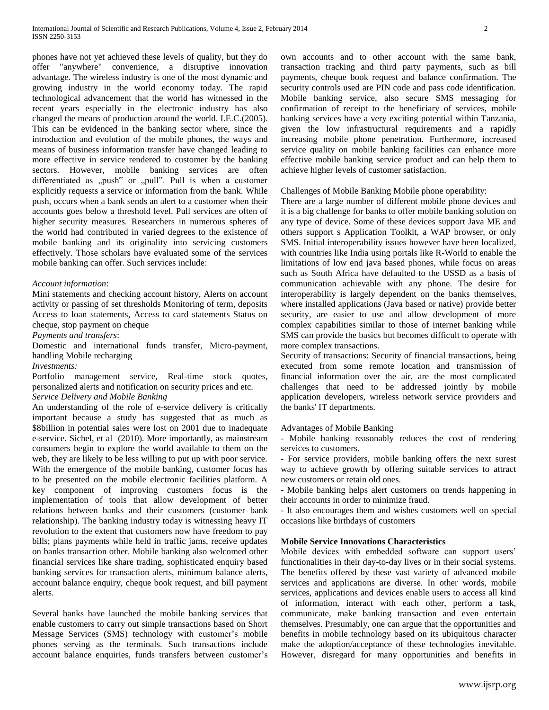phones have not yet achieved these levels of quality, but they do offer "anywhere" convenience, a disruptive innovation advantage. The wireless industry is one of the most dynamic and growing industry in the world economy today. The rapid technological advancement that the world has witnessed in the recent years especially in the electronic industry has also changed the means of production around the world. I.E.C.(2005). This can be evidenced in the banking sector where, since the introduction and evolution of the mobile phones, the ways and means of business information transfer have changed leading to more effective in service rendered to customer by the banking sectors. However, mobile banking services are often differentiated as "push" or "pull". Pull is when a customer explicitly requests a service or information from the bank. While push, occurs when a bank sends an alert to a customer when their accounts goes below a threshold level. Pull services are often of higher security measures. Researchers in numerous spheres of the world had contributed in varied degrees to the existence of mobile banking and its originality into servicing customers effectively. Those scholars have evaluated some of the services mobile banking can offer. Such services include:

## *Account information*:

Mini statements and checking account history, Alerts on account activity or passing of set thresholds Monitoring of term, deposits Access to loan statements, Access to card statements Status on cheque, stop payment on cheque

*Payments and transfers*:

Domestic and international funds transfer, Micro-payment, handling Mobile recharging

*Investments:* 

Portfolio management service, Real-time stock quotes, personalized alerts and notification on security prices and etc.

# *Service Delivery and Mobile Banking*

An understanding of the role of e-service delivery is critically important because a study has suggested that as much as \$8billion in potential sales were lost on 2001 due to inadequate e-service. Sichel, et al (2010). More importantly, as mainstream consumers begin to explore the world available to them on the web, they are likely to be less willing to put up with poor service. With the emergence of the mobile banking, customer focus has to be presented on the mobile electronic facilities platform. A key component of improving customers focus is the implementation of tools that allow development of better relations between banks and their customers (customer bank relationship). The banking industry today is witnessing heavy IT revolution to the extent that customers now have freedom to pay bills; plans payments while held in traffic jams, receive updates on banks transaction other. Mobile banking also welcomed other financial services like share trading, sophisticated enquiry based banking services for transaction alerts, minimum balance alerts, account balance enquiry, cheque book request, and bill payment alerts.

Several banks have launched the mobile banking services that enable customers to carry out simple transactions based on Short Message Services (SMS) technology with customer's mobile phones serving as the terminals. Such transactions include account balance enquiries, funds transfers between customer's own accounts and to other account with the same bank, transaction tracking and third party payments, such as bill payments, cheque book request and balance confirmation. The security controls used are PIN code and pass code identification. Mobile banking service, also secure SMS messaging for confirmation of receipt to the beneficiary of services, mobile banking services have a very exciting potential within Tanzania, given the low infrastructural requirements and a rapidly increasing mobile phone penetration. Furthermore, increased service quality on mobile banking facilities can enhance more effective mobile banking service product and can help them to achieve higher levels of customer satisfaction.

Challenges of Mobile Banking Mobile phone operability:

There are a large number of different mobile phone devices and it is a big challenge for banks to offer mobile banking solution on any type of device. Some of these devices support Java ME and others support s Application Toolkit, a WAP browser, or only SMS. Initial interoperability issues however have been localized, with countries like India using portals like R-World to enable the limitations of low end java based phones, while focus on areas such as South Africa have defaulted to the USSD as a basis of communication achievable with any phone. The desire for interoperability is largely dependent on the banks themselves, where installed applications (Java based or native) provide better security, are easier to use and allow development of more complex capabilities similar to those of internet banking while SMS can provide the basics but becomes difficult to operate with more complex transactions.

Security of transactions: Security of financial transactions, being executed from some remote location and transmission of financial information over the air, are the most complicated challenges that need to be addressed jointly by mobile application developers, wireless network service providers and the banks' IT departments.

## Advantages of Mobile Banking

- Mobile banking reasonably reduces the cost of rendering services to customers.

- For service providers, mobile banking offers the next surest way to achieve growth by offering suitable services to attract new customers or retain old ones.

- Mobile banking helps alert customers on trends happening in their accounts in order to minimize fraud.

- It also encourages them and wishes customers well on special occasions like birthdays of customers

## **Mobile Service Innovations Characteristics**

Mobile devices with embedded software can support users' functionalities in their day-to-day lives or in their social systems. The benefits offered by these vast variety of advanced mobile services and applications are diverse. In other words, mobile services, applications and devices enable users to access all kind of information, interact with each other, perform a task, communicate, make banking transaction and even entertain themselves. Presumably, one can argue that the opportunities and benefits in mobile technology based on its ubiquitous character make the adoption/acceptance of these technologies inevitable. However, disregard for many opportunities and benefits in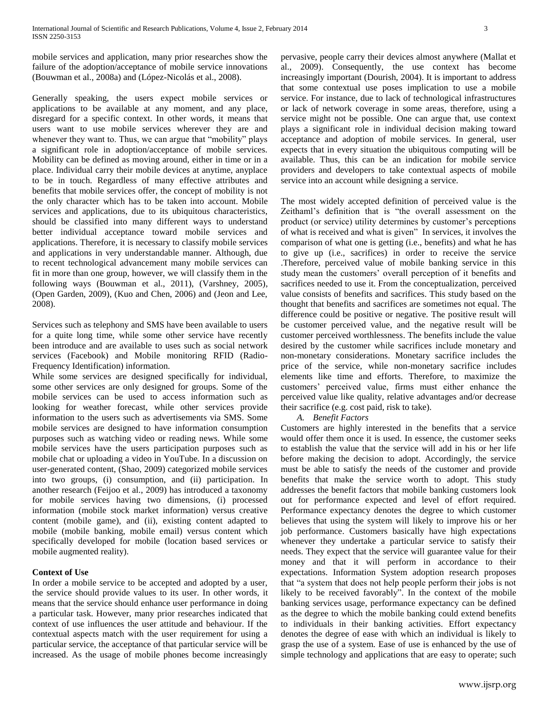mobile services and application, many prior researches show the failure of the adoption/acceptance of mobile service innovations (Bouwman et al., 2008a) and (López-Nicolás et al., 2008).

Generally speaking, the users expect mobile services or applications to be available at any moment, and any place, disregard for a specific context. In other words, it means that users want to use mobile services wherever they are and whenever they want to. Thus, we can argue that "mobility" plays a significant role in adoption/acceptance of mobile services. Mobility can be defined as moving around, either in time or in a place. Individual carry their mobile devices at anytime, anyplace to be in touch. Regardless of many effective attributes and benefits that mobile services offer, the concept of mobility is not the only character which has to be taken into account. Mobile services and applications, due to its ubiquitous characteristics, should be classified into many different ways to understand better individual acceptance toward mobile services and applications. Therefore, it is necessary to classify mobile services and applications in very understandable manner. Although, due to recent technological advancement many mobile services can fit in more than one group, however, we will classify them in the following ways (Bouwman et al., 2011), (Varshney, 2005), (Open Garden, 2009), (Kuo and Chen, 2006) and (Jeon and Lee, 2008).

Services such as telephony and SMS have been available to users for a quite long time, while some other service have recently been introduce and are available to uses such as social network services (Facebook) and Mobile monitoring RFID (Radio-Frequency Identification) information.

While some services are designed specifically for individual, some other services are only designed for groups. Some of the mobile services can be used to access information such as looking for weather forecast, while other services provide information to the users such as advertisements via SMS. Some mobile services are designed to have information consumption purposes such as watching video or reading news. While some mobile services have the users participation purposes such as mobile chat or uploading a video in YouTube. In a discussion on user-generated content, (Shao, 2009) categorized mobile services into two groups, (i) consumption, and (ii) participation. In another research (Feijoo et al., 2009) has introduced a taxonomy for mobile services having two dimensions, (i) processed information (mobile stock market information) versus creative content (mobile game), and (ii), existing content adapted to mobile (mobile banking, mobile email) versus content which specifically developed for mobile (location based services or mobile augmented reality).

# **Context of Use**

In order a mobile service to be accepted and adopted by a user, the service should provide values to its user. In other words, it means that the service should enhance user performance in doing a particular task. However, many prior researches indicated that context of use influences the user attitude and behaviour. If the contextual aspects match with the user requirement for using a particular service, the acceptance of that particular service will be increased. As the usage of mobile phones become increasingly

pervasive, people carry their devices almost anywhere (Mallat et al., 2009). Consequently, the use context has become increasingly important (Dourish, 2004). It is important to address that some contextual use poses implication to use a mobile service. For instance, due to lack of technological infrastructures or lack of network coverage in some areas, therefore, using a service might not be possible. One can argue that, use context plays a significant role in individual decision making toward acceptance and adoption of mobile services. In general, user expects that in every situation the ubiquitous computing will be available. Thus, this can be an indication for mobile service providers and developers to take contextual aspects of mobile service into an account while designing a service.

The most widely accepted definition of perceived value is the Zeithaml's definition that is "the overall assessment on the product (or service) utility determines by customer's perceptions of what is received and what is given" In services, it involves the comparison of what one is getting (i.e., benefits) and what he has to give up (i.e., sacrifices) in order to receive the service .Therefore, perceived value of mobile banking service in this study mean the customers' overall perception of it benefits and sacrifices needed to use it. From the conceptualization, perceived value consists of benefits and sacrifices. This study based on the thought that benefits and sacrifices are sometimes not equal. The difference could be positive or negative. The positive result will be customer perceived value, and the negative result will be customer perceived worthlessness. The benefits include the value desired by the customer while sacrifices include monetary and non-monetary considerations. Monetary sacrifice includes the price of the service, while non-monetary sacrifice includes elements like time and efforts. Therefore, to maximize the customers' perceived value, firms must either enhance the perceived value like quality, relative advantages and/or decrease their sacrifice (e.g. cost paid, risk to take).

*A. Benefit Factors*

Customers are highly interested in the benefits that a service would offer them once it is used. In essence, the customer seeks to establish the value that the service will add in his or her life before making the decision to adopt. Accordingly, the service must be able to satisfy the needs of the customer and provide benefits that make the service worth to adopt. This study addresses the benefit factors that mobile banking customers look out for performance expected and level of effort required. Performance expectancy denotes the degree to which customer believes that using the system will likely to improve his or her job performance. Customers basically have high expectations whenever they undertake a particular service to satisfy their needs. They expect that the service will guarantee value for their money and that it will perform in accordance to their expectations. Information System adoption research proposes that "a system that does not help people perform their jobs is not likely to be received favorably". In the context of the mobile banking services usage, performance expectancy can be defined as the degree to which the mobile banking could extend benefits to individuals in their banking activities. Effort expectancy denotes the degree of ease with which an individual is likely to grasp the use of a system. Ease of use is enhanced by the use of simple technology and applications that are easy to operate; such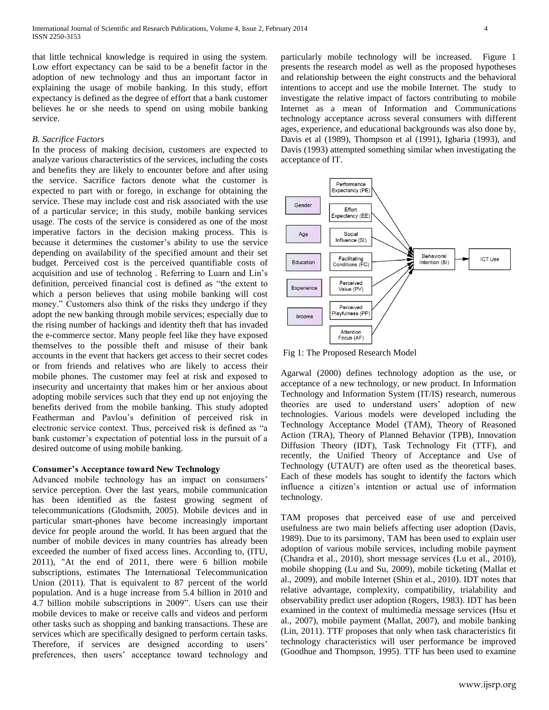that little technical knowledge is required in using the system. Low effort expectancy can be said to be a benefit factor in the adoption of new technology and thus an important factor in explaining the usage of mobile banking. In this study, effort expectancy is defined as the degree of effort that a bank customer believes he or she needs to spend on using mobile banking service.

### *B. Sacrifice Factors*

In the process of making decision, customers are expected to analyze various characteristics of the services, including the costs and benefits they are likely to encounter before and after using the service. Sacrifice factors denote what the customer is expected to part with or forego, in exchange for obtaining the service. These may include cost and risk associated with the use of a particular service; in this study, mobile banking services usage. The costs of the service is considered as one of the most imperative factors in the decision making process. This is because it determines the customer's ability to use the service depending on availability of the specified amount and their set budget. Perceived cost is the perceived quantifiable costs of acquisition and use of technolog . Referring to Luarn and Lin's definition, perceived financial cost is defined as "the extent to which a person believes that using mobile banking will cost money." Customers also think of the risks they undergo if they adopt the new banking through mobile services; especially due to the rising number of hackings and identity theft that has invaded the e-commerce sector. Many people feel like they have exposed themselves to the possible theft and misuse of their bank accounts in the event that hackers get access to their secret codes or from friends and relatives who are likely to access their mobile phones. The customer may feel at risk and exposed to insecurity and uncertainty that makes him or her anxious about adopting mobile services such that they end up not enjoying the benefits derived from the mobile banking. This study adopted Featherman and Pavlou's definition of perceived risk in electronic service context. Thus, perceived risk is defined as "a bank customer's expectation of potential loss in the pursuit of a desired outcome of using mobile banking.

## **Consumer's Acceptance toward New Technology**

Advanced mobile technology has an impact on consumers' service perception. Over the last years, mobile communication has been identified as the fastest growing segment of telecommunications (Glodsmith, 2005). Mobile devices and in particular smart-phones have become increasingly important device for people around the world. It has been argued that the number of mobile devices in many countries has already been exceeded the number of fixed access lines. According to, (ITU, 2011), "At the end of 2011, there were 6 billion mobile subscriptions, estimates The International Telecommunication Union (2011). That is equivalent to 87 percent of the world population. And is a huge increase from 5.4 billion in 2010 and 4.7 billion mobile subscriptions in 2009". Users can use their mobile devices to make or receive calls and videos and perform other tasks such as shopping and banking transactions. These are services which are specifically designed to perform certain tasks. Therefore, if services are designed according to users' preferences, then users' acceptance toward technology and

particularly mobile technology will be increased. Figure 1 presents the research model as well as the proposed hypotheses and relationship between the eight constructs and the behavioral intentions to accept and use the mobile Internet. The study to investigate the relative impact of factors contributing to mobile Internet as a mean of Information and Communications technology acceptance across several consumers with different ages, experience, and educational backgrounds was also done by, Davis et al (1989), Thompson et al (1991), Igbaria (1993), and Davis (1993) attempted something similar when investigating the acceptance of IT.



Fig 1: The Proposed Research Model

Agarwal (2000) defines technology adoption as the use, or acceptance of a new technology, or new product. In Information Technology and Information System (IT/IS) research, numerous theories are used to understand users' adoption of new technologies. Various models were developed including the Technology Acceptance Model (TAM), Theory of Reasoned Action (TRA), Theory of Planned Behavior (TPB), Innovation Diffusion Theory (IDT), Task Technology Fit (TTF), and recently, the Unified Theory of Acceptance and Use of Technology (UTAUT) are often used as the theoretical bases. Each of these models has sought to identify the factors which influence a citizen's intention or actual use of information technology.

TAM proposes that perceived ease of use and perceived usefulness are two main beliefs affecting user adoption (Davis, 1989). Due to its parsimony, TAM has been used to explain user adoption of various mobile services, including mobile payment (Chandra et al., 2010), short message services (Lu et al., 2010), mobile shopping (Lu and Su, 2009), mobile ticketing (Mallat et al., 2009), and mobile Internet (Shin et al., 2010). IDT notes that relative advantage, complexity, compatibility, trialability and observability predict user adoption (Rogers, 1983). IDT has been examined in the context of multimedia message services (Hsu et al., 2007), mobile payment (Mallat, 2007), and mobile banking (Lin, 2011). TTF proposes that only when task characteristics fit technology characteristics will user performance be improved (Goodhue and Thompson, 1995). TTF has been used to examine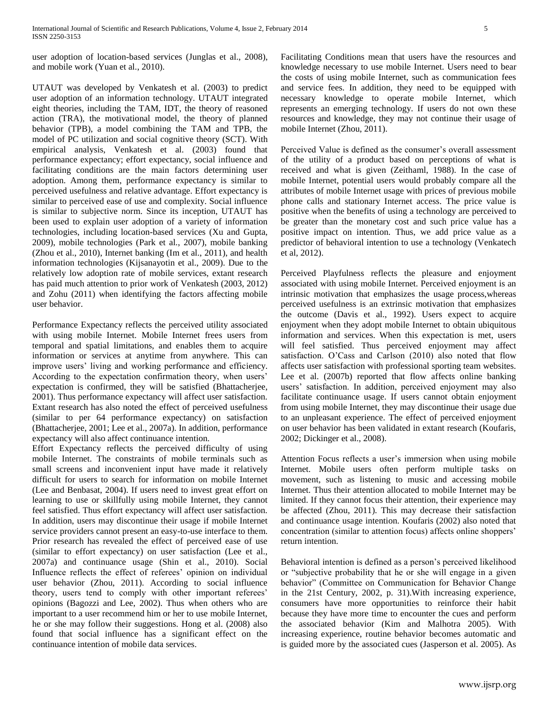user adoption of location-based services (Junglas et al., 2008), and mobile work (Yuan et al., 2010).

UTAUT was developed by Venkatesh et al. (2003) to predict user adoption of an information technology. UTAUT integrated eight theories, including the TAM, IDT, the theory of reasoned action (TRA), the motivational model, the theory of planned behavior (TPB), a model combining the TAM and TPB, the model of PC utilization and social cognitive theory (SCT). With empirical analysis, Venkatesh et al. (2003) found that performance expectancy; effort expectancy, social influence and facilitating conditions are the main factors determining user adoption. Among them, performance expectancy is similar to perceived usefulness and relative advantage. Effort expectancy is similar to perceived ease of use and complexity. Social influence is similar to subjective norm. Since its inception, UTAUT has been used to explain user adoption of a variety of information technologies, including location-based services (Xu and Gupta, 2009), mobile technologies (Park et al., 2007), mobile banking (Zhou et al., 2010), Internet banking (Im et al., 2011), and health information technologies (Kijsanayotin et al., 2009). Due to the relatively low adoption rate of mobile services, extant research has paid much attention to prior work of Venkatesh (2003, 2012) and Zohu (2011) when identifying the factors affecting mobile user behavior.

Performance Expectancy reflects the perceived utility associated with using mobile Internet. Mobile Internet frees users from temporal and spatial limitations, and enables them to acquire information or services at anytime from anywhere. This can improve users' living and working performance and efficiency. According to the expectation confirmation theory, when users' expectation is confirmed, they will be satisfied (Bhattacherjee, 2001). Thus performance expectancy will affect user satisfaction. Extant research has also noted the effect of perceived usefulness (similar to per 64 performance expectancy) on satisfaction (Bhattacherjee, 2001; Lee et al., 2007a). In addition, performance expectancy will also affect continuance intention.

Effort Expectancy reflects the perceived difficulty of using mobile Internet. The constraints of mobile terminals such as small screens and inconvenient input have made it relatively difficult for users to search for information on mobile Internet (Lee and Benbasat, 2004). If users need to invest great effort on learning to use or skillfully using mobile Internet, they cannot feel satisfied. Thus effort expectancy will affect user satisfaction. In addition, users may discontinue their usage if mobile Internet service providers cannot present an easy-to-use interface to them. Prior research has revealed the effect of perceived ease of use (similar to effort expectancy) on user satisfaction (Lee et al., 2007a) and continuance usage (Shin et al., 2010). Social Influence reflects the effect of referees' opinion on individual user behavior (Zhou, 2011). According to social influence theory, users tend to comply with other important referees' opinions (Bagozzi and Lee, 2002). Thus when others who are important to a user recommend him or her to use mobile Internet, he or she may follow their suggestions. Hong et al. (2008) also found that social influence has a significant effect on the continuance intention of mobile data services.

Facilitating Conditions mean that users have the resources and knowledge necessary to use mobile Internet. Users need to bear the costs of using mobile Internet, such as communication fees and service fees. In addition, they need to be equipped with necessary knowledge to operate mobile Internet, which represents an emerging technology. If users do not own these resources and knowledge, they may not continue their usage of mobile Internet (Zhou, 2011).

Perceived Value is defined as the consumer's overall assessment of the utility of a product based on perceptions of what is received and what is given (Zeithaml, 1988). In the case of mobile Internet, potential users would probably compare all the attributes of mobile Internet usage with prices of previous mobile phone calls and stationary Internet access. The price value is positive when the benefits of using a technology are perceived to be greater than the monetary cost and such price value has a positive impact on intention. Thus, we add price value as a predictor of behavioral intention to use a technology (Venkatech et al, 2012).

Perceived Playfulness reflects the pleasure and enjoyment associated with using mobile Internet. Perceived enjoyment is an intrinsic motivation that emphasizes the usage process,whereas perceived usefulness is an extrinsic motivation that emphasizes the outcome (Davis et al., 1992). Users expect to acquire enjoyment when they adopt mobile Internet to obtain ubiquitous information and services. When this expectation is met, users will feel satisfied. Thus perceived enjoyment may affect satisfaction. O'Cass and Carlson (2010) also noted that flow affects user satisfaction with professional sporting team websites. Lee et al. (2007b) reported that flow affects online banking users' satisfaction. In addition, perceived enjoyment may also facilitate continuance usage. If users cannot obtain enjoyment from using mobile Internet, they may discontinue their usage due to an unpleasant experience. The effect of perceived enjoyment on user behavior has been validated in extant research (Koufaris, 2002; Dickinger et al., 2008).

Attention Focus reflects a user's immersion when using mobile Internet. Mobile users often perform multiple tasks on movement, such as listening to music and accessing mobile Internet. Thus their attention allocated to mobile Internet may be limited. If they cannot focus their attention, their experience may be affected (Zhou, 2011). This may decrease their satisfaction and continuance usage intention. Koufaris (2002) also noted that concentration (similar to attention focus) affects online shoppers' return intention.

Behavioral intention is defined as a person's perceived likelihood or "subjective probability that he or she will engage in a given behavior" (Committee on Communication for Behavior Change in the 21st Century, 2002, p. 31).With increasing experience, consumers have more opportunities to reinforce their habit because they have more time to encounter the cues and perform the associated behavior (Kim and Malhotra 2005). With increasing experience, routine behavior becomes automatic and is guided more by the associated cues (Jasperson et al. 2005). As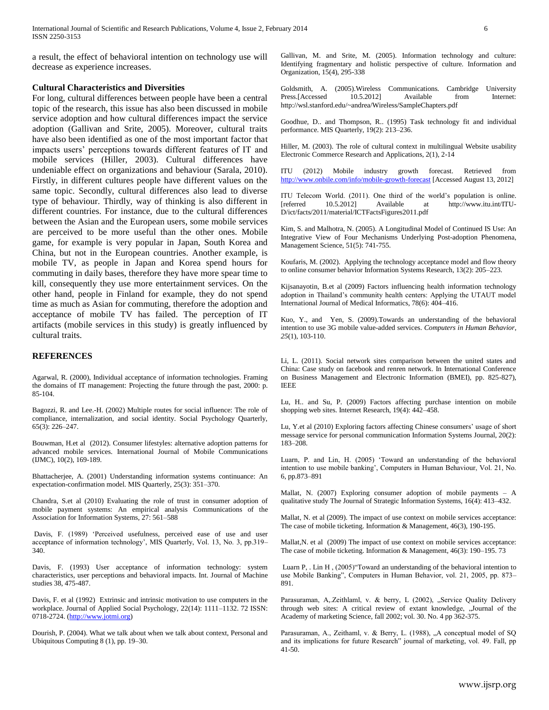International Journal of Scientific and Research Publications, Volume 4, Issue 2, February 2014 6 ISSN 2250-3153

a result, the effect of behavioral intention on technology use will decrease as experience increases.

#### **Cultural Characteristics and Diversities**

For long, cultural differences between people have been a central topic of the research, this issue has also been discussed in mobile service adoption and how cultural differences impact the service adoption (Gallivan and Srite, 2005). Moreover, cultural traits have also been identified as one of the most important factor that impacts users' perceptions towards different features of IT and mobile services (Hiller, 2003). Cultural differences have undeniable effect on organizations and behaviour (Sarala, 2010). Firstly, in different cultures people have different values on the same topic. Secondly, cultural differences also lead to diverse type of behaviour. Thirdly, way of thinking is also different in different countries. For instance, due to the cultural differences between the Asian and the European users, some mobile services are perceived to be more useful than the other ones. Mobile game, for example is very popular in Japan, South Korea and China, but not in the European countries. Another example, is mobile TV, as people in Japan and Korea spend hours for commuting in daily bases, therefore they have more spear time to kill, consequently they use more entertainment services. On the other hand, people in Finland for example, they do not spend time as much as Asian for commuting, therefore the adoption and acceptance of mobile TV has failed. The perception of IT artifacts (mobile services in this study) is greatly influenced by cultural traits.

## **REFERENCES**

Agarwal, R. (2000), Individual acceptance of information technologies. Framing the domains of IT management: Projecting the future through the past, 2000: p. 85-104.

Bagozzi, R. and Lee.-H. (2002) Multiple routes for social influence: The role of compliance, internalization, and social identity. Social Psychology Quarterly, 65(3): 226–247.

Bouwman, H.et al (2012). Consumer lifestyles: alternative adoption patterns for advanced mobile services. International Journal of Mobile Communications (IJMC), 10(2), 169-189.

Bhattacherjee, A. (2001) Understanding information systems continuance: An expectation-confirmation model. MIS Quarterly, 25(3): 351–370.

Chandra, S.et al (2010) Evaluating the role of trust in consumer adoption of mobile payment systems: An empirical analysis Communications of the Association for Information Systems, 27: 561–588

Davis, F. (1989) 'Perceived usefulness, perceived ease of use and user acceptance of information technology', MIS Quarterly, Vol. 13, No. 3, pp.319– 340.

Davis, F. (1993) User acceptance of information technology: system characteristics, user perceptions and behavioral impacts. Int. Journal of Machine studies 38, 475-487.

Davis, F. et al (1992) Extrinsic and intrinsic motivation to use computers in the workplace. Journal of Applied Social Psychology, 22(14): 1111–1132. 72 ISSN: 0718-2724. [\(http://www.jotmi.org\)](http://www.jotmi.org/) 

Dourish, P. (2004). What we talk about when we talk about context, Personal and Ubiquitous Computing 8 (1), pp. 19–30.

Gallivan, M. and Srite, M. (2005). Information technology and culture: Identifying fragmentary and holistic perspective of culture. Information and Organization, 15(4), 295-338

Goldsmith, A. (2005).Wireless Communications. Cambridge University Press.[Accessed 10.5.2012] Available from Internet: http://wsl.stanford.edu/~andrea/Wireless/SampleChapters.pdf

Goodhue, D.. and Thompson, R.. (1995) Task technology fit and individual performance. MIS Quarterly, 19(2): 213–236.

Hiller, M. (2003). The role of cultural context in multilingual Website usability Electronic Commerce Research and Applications, 2(1), 2-14

ITU (2012) Mobile industry growth forecast. Retrieved from <http://www.onbile.com/info/mobile-growth-forecast> [Accessed August 13, 2012]

ITU Telecom World. (2011). One third of the world's population is online. [referred 10.5.2012] Available at http://www.itu.int/ITU-D/ict/facts/2011/material/ICTFactsFigures2011.pdf

Kim, S. and Malhotra, N. (2005). A Longitudinal Model of Continued IS Use: An Integrative View of Four Mechanisms Underlying Post-adoption Phenomena, Management Science, 51(5): 741-755.

Koufaris, M. (2002). Applying the technology acceptance model and flow theory to online consumer behavior Information Systems Research, 13(2): 205–223.

Kijsanayotin, B.et al (2009) Factors influencing health information technology adoption in Thailand's community health centers: Applying the UTAUT model International Journal of Medical Informatics, 78(6): 404–416.

Kuo, Y., and Yen, S. (2009).Towards an understanding of the behavioral intention to use 3G mobile value-added services. *Computers in Human Behavior*, *25*(1), 103-110.

Li, L. (2011). Social network sites comparison between the united states and China: Case study on facebook and renren network. In International Conference on Business Management and Electronic Information (BMEI), pp. 825-827), IEEE

Lu, H.. and Su, P. (2009) Factors affecting purchase intention on mobile shopping web sites. Internet Research, 19(4): 442–458.

Lu, Y.et al (2010) Exploring factors affecting Chinese consumers' usage of short message service for personal communication Information Systems Journal, 20(2): 183–208.

Luarn, P. and Lin, H. (2005) 'Toward an understanding of the behavioral intention to use mobile banking', Computers in Human Behaviour, Vol. 21, No. 6, pp.873–891

Mallat, N. (2007) Exploring consumer adoption of mobile payments – A qualitative study The Journal of Strategic Information Systems, 16(4): 413–432.

Mallat, N. et al (2009). The impact of use context on mobile services acceptance: The case of mobile ticketing. Information & Management, 46(3), 190-195.

Mallat,N. et al (2009) The impact of use context on mobile services acceptance: The case of mobile ticketing. Information & Management, 46(3): 190–195. 73

Luarn P, . Lin H , (2005)"Toward an understanding of the behavioral intention to use Mobile Banking", Computers in Human Behavior, vol. 21, 2005, pp. 873– 891.

Parasuraman, A,.Zeithlaml, v. & berry, L (2002), "Service Quality Delivery through web sites: A critical review of extant knowledge, "Journal of the Academy of marketing Science, fall 2002; vol. 30. No. 4 pp 362-375.

Parasuraman, A., Zeithaml, v. & Berry, L. (1988), "A conceptual model of SQ and its implications for future Research" journal of marketing, vol. 49. Fall, pp 41-50.